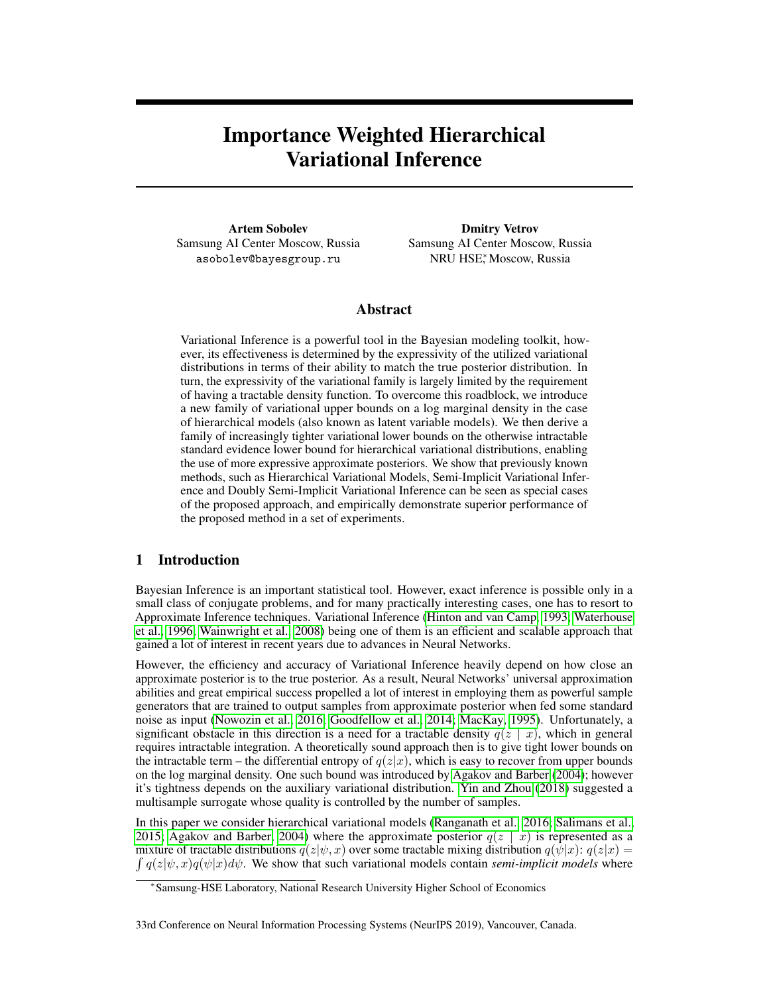# Importance Weighted Hierarchical Variational Inference

Artem Sobolev Samsung AI Center Moscow, Russia asobolev@bayesgroup.ru

Dmitry Vetrov Samsung AI Center Moscow, Russia NRU HSE<sup>∗</sup> , Moscow, Russia

# Abstract

Variational Inference is a powerful tool in the Bayesian modeling toolkit, however, its effectiveness is determined by the expressivity of the utilized variational distributions in terms of their ability to match the true posterior distribution. In turn, the expressivity of the variational family is largely limited by the requirement of having a tractable density function. To overcome this roadblock, we introduce a new family of variational upper bounds on a log marginal density in the case of hierarchical models (also known as latent variable models). We then derive a family of increasingly tighter variational lower bounds on the otherwise intractable standard evidence lower bound for hierarchical variational distributions, enabling the use of more expressive approximate posteriors. We show that previously known methods, such as Hierarchical Variational Models, Semi-Implicit Variational Inference and Doubly Semi-Implicit Variational Inference can be seen as special cases of the proposed approach, and empirically demonstrate superior performance of the proposed method in a set of experiments.

# 1 Introduction

Bayesian Inference is an important statistical tool. However, exact inference is possible only in a small class of conjugate problems, and for many practically interesting cases, one has to resort to Approximate Inference techniques. Variational Inference [\(Hinton and van Camp, 1993;](#page-9-0) [Waterhouse](#page-12-0) [et al., 1996;](#page-12-0) [Wainwright et al., 2008\)](#page-11-0) being one of them is an efficient and scalable approach that gained a lot of interest in recent years due to advances in Neural Networks.

However, the efficiency and accuracy of Variational Inference heavily depend on how close an approximate posterior is to the true posterior. As a result, Neural Networks' universal approximation abilities and great empirical success propelled a lot of interest in employing them as powerful sample generators that are trained to output samples from approximate posterior when fed some standard noise as input [\(Nowozin et al., 2016;](#page-10-0) [Goodfellow et al., 2014;](#page-9-1) [MacKay, 1995\)](#page-10-1). Unfortunately, a significant obstacle in this direction is a need for a tractable density  $q(z | x)$ , which in general requires intractable integration. A theoretically sound approach then is to give tight lower bounds on the intractable term – the differential entropy of  $q(z|x)$ , which is easy to recover from upper bounds on the log marginal density. One such bound was introduced by [Agakov and Barber](#page-8-0) [\(2004\)](#page-8-0); however it's tightness depends on the auxiliary variational distribution. [Yin and Zhou](#page-12-1) [\(2018\)](#page-12-1) suggested a multisample surrogate whose quality is controlled by the number of samples.

In this paper we consider hierarchical variational models [\(Ranganath et al., 2016;](#page-11-1) [Salimans et al.,](#page-11-2) [2015;](#page-11-2) [Agakov and Barber, 2004\)](#page-8-0) where the approximate posterior  $q(z \mid x)$  is represented as a  $\int q(z|\psi, x)q(\psi|x)d\psi$ . We show that such variational models contain *semi-implicit models* where mixture of tractable distributions  $q(z|\psi, x)$  over some tractable mixing distribution  $q(\psi|x)$ :  $q(z|x)$  =

<sup>∗</sup> Samsung-HSE Laboratory, National Research University Higher School of Economics

<sup>33</sup>rd Conference on Neural Information Processing Systems (NeurIPS 2019), Vancouver, Canada.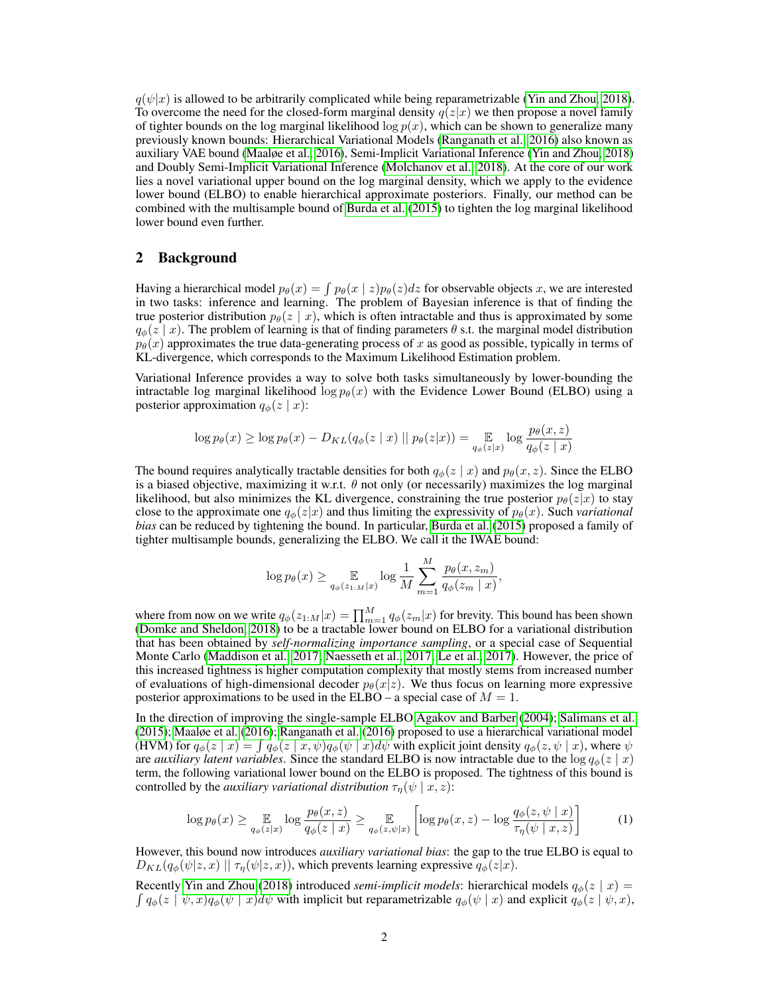$q(\psi|x)$  is allowed to be arbitrarily complicated while being reparametrizable [\(Yin and Zhou, 2018\)](#page-12-1). To overcome the need for the closed-form marginal density  $q(z|x)$  we then propose a novel family of tighter bounds on the log marginal likelihood  $\log p(x)$ , which can be shown to generalize many previously known bounds: Hierarchical Variational Models [\(Ranganath et al., 2016\)](#page-11-1) also known as auxiliary VAE bound [\(Maaløe et al., 2016\)](#page-10-2), Semi-Implicit Variational Inference [\(Yin and Zhou, 2018\)](#page-12-1) and Doubly Semi-Implicit Variational Inference [\(Molchanov et al., 2018\)](#page-10-3). At the core of our work lies a novel variational upper bound on the log marginal density, which we apply to the evidence lower bound (ELBO) to enable hierarchical approximate posteriors. Finally, our method can be combined with the multisample bound of [Burda et al.](#page-8-1) [\(2015\)](#page-8-1) to tighten the log marginal likelihood lower bound even further.

# 2 Background

Having a hierarchical model  $p_{\theta}(x) = \int p_{\theta}(x \mid z) p_{\theta}(z) dz$  for observable objects x, we are interested in two tasks: inference and learning. The problem of Bayesian inference is that of finding the true posterior distribution  $p_{\theta}(z | x)$ , which is often intractable and thus is approximated by some  $q_{\phi}(z | x)$ . The problem of learning is that of finding parameters  $\theta$  s.t. the marginal model distribution  $p_{\theta}(x)$  approximates the true data-generating process of x as good as possible, typically in terms of KL-divergence, which corresponds to the Maximum Likelihood Estimation problem.

Variational Inference provides a way to solve both tasks simultaneously by lower-bounding the intractable log marginal likelihood log  $p_{\theta}(x)$  with the Evidence Lower Bound (ELBO) using a posterior approximation  $q_{\phi}(z \mid x)$ :

$$
\log p_{\theta}(x) \ge \log p_{\theta}(x) - D_{KL}(q_{\phi}(z \mid x) \mid p_{\theta}(z \mid x)) = \mathop{\mathbb{E}}_{q_{\phi}(z \mid x)} \log \frac{p_{\theta}(x, z)}{q_{\phi}(z \mid x)}
$$

The bound requires analytically tractable densities for both  $q_{\phi}(z | x)$  and  $p_{\theta}(x, z)$ . Since the ELBO is a biased objective, maximizing it w.r.t.  $\theta$  not only (or necessarily) maximizes the log marginal likelihood, but also minimizes the KL divergence, constraining the true posterior  $p_{\theta}(z|x)$  to stay close to the approximate one  $q_{\phi}(z|x)$  and thus limiting the expressivity of  $p_{\theta}(x)$ . Such *variational bias* can be reduced by tightening the bound. In particular, [Burda et al.](#page-8-1) [\(2015\)](#page-8-1) proposed a family of tighter multisample bounds, generalizing the ELBO. We call it the IWAE bound:

<span id="page-1-0"></span>
$$
\log p_{\theta}(x) \ge \mathop{\mathbb{E}}_{q_{\phi}(z_1,M|x)} \log \frac{1}{M} \sum_{m=1}^{M} \frac{p_{\theta}(x,z_m)}{q_{\phi}(z_m | x)},
$$

where from now on we write  $q_{\phi}(z_{1:M}|x) = \prod_{m=1}^{M} q_{\phi}(z_m|x)$  for brevity. This bound has been shown [\(Domke and Sheldon, 2018\)](#page-9-2) to be a tractable lower bound on ELBO for a variational distribution that has been obtained by *self-normalizing importance sampling*, or a special case of Sequential Monte Carlo [\(Maddison et al., 2017;](#page-10-4) [Naesseth et al., 2017;](#page-10-5) [Le et al., 2017\)](#page-10-6). However, the price of this increased tightness is higher computation complexity that mostly stems from increased number of evaluations of high-dimensional decoder  $p_{\theta}(x|z)$ . We thus focus on learning more expressive posterior approximations to be used in the ELBO – a special case of  $M = 1$ .

In the direction of improving the single-sample ELBO [Agakov and Barber](#page-8-0) [\(2004\)](#page-8-0); [Salimans et al.](#page-11-2) [\(2015\)](#page-11-2); [Maaløe et al.](#page-10-2) [\(2016\)](#page-10-2); [Ranganath et al.](#page-11-1) [\(2016\)](#page-11-1) proposed to use a hierarchical variational model (HVM) for  $q_{\phi}(z \mid x) = \int q_{\phi}(z \mid x, \psi) q_{\phi}(\psi \mid x) d\psi$  with explicit joint density  $q_{\phi}(z, \psi \mid x)$ , where  $\psi$ are *auxiliary latent variables*. Since the standard ELBO is now intractable due to the  $\log q_{\phi}(z \mid x)$ term, the following variational lower bound on the ELBO is proposed. The tightness of this bound is controlled by the *auxiliary variational distribution*  $\tau_{\eta}(\psi \mid x, z)$ :

$$
\log p_{\theta}(x) \ge \mathop{\mathbb{E}}_{q_{\phi}(z|x)} \log \frac{p_{\theta}(x,z)}{q_{\phi}(z|x)} \ge \mathop{\mathbb{E}}_{q_{\phi}(z,\psi|x)} \left[ \log p_{\theta}(x,z) - \log \frac{q_{\phi}(z,\psi|x)}{\tau_{\eta}(\psi|x,z)} \right] \tag{1}
$$

However, this bound now introduces *auxiliary variational bias*: the gap to the true ELBO is equal to  $D_{KL}(q_{\phi}(\psi|z, x) \mid \mid \tau_{\eta}(\psi|z, x))$ , which prevents learning expressive  $q_{\phi}(z|x)$ .

Recently [Yin and Zhou](#page-12-1) [\(2018\)](#page-12-1) introduced *semi-implicit models*: hierarchical models  $q_{\phi}(z \mid x) =$  $\int q_\phi(z \mid \psi, x) q_\phi(\psi \mid x) d\psi$  with implicit but reparametrizable  $q_\phi(\psi \mid x)$  and explicit  $q_\phi(z \mid \psi, x)$ ,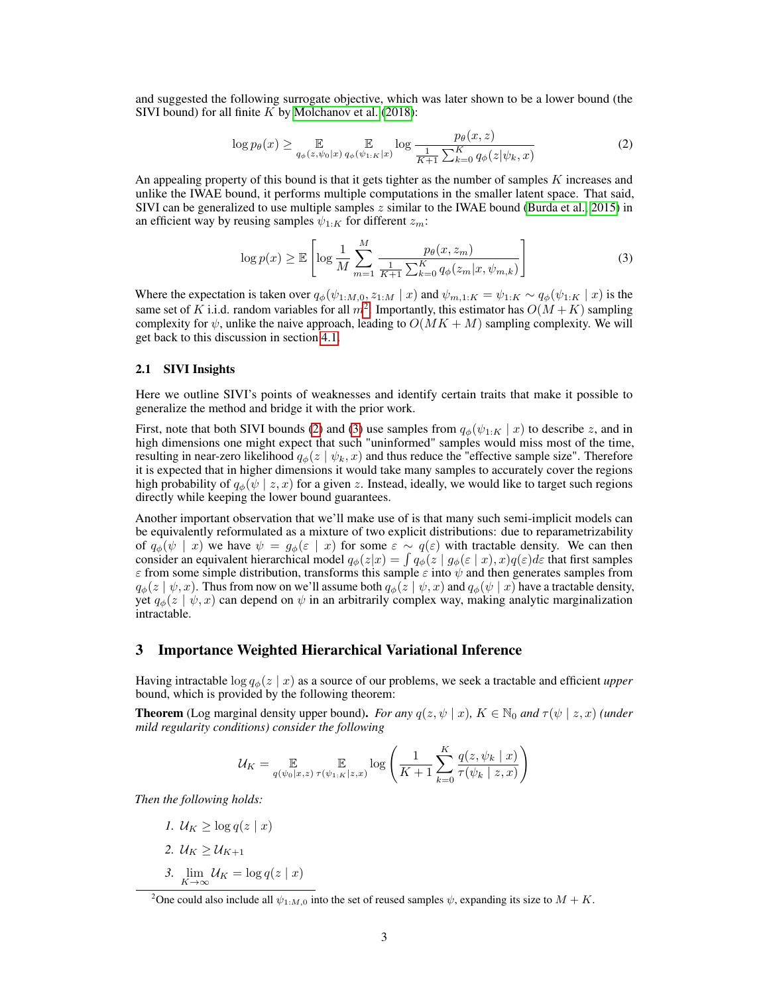and suggested the following surrogate objective, which was later shown to be a lower bound (the SIVI bound) for all finite  $K$  by [Molchanov et al.](#page-10-3) [\(2018\)](#page-10-3):

<span id="page-2-1"></span>
$$
\log p_{\theta}(x) \ge \mathop{\mathbb{E}}_{q_{\phi}(z,\psi_0|x)} \mathop{\mathbb{E}}_{q_{\phi}( \psi_1, \kappa | x)} \log \frac{p_{\theta}(x, z)}{\frac{1}{K+1} \sum_{k=0}^{K} q_{\phi}(z | \psi_k, x)}
$$
(2)

An appealing property of this bound is that it gets tighter as the number of samples K increases and unlike the IWAE bound, it performs multiple computations in the smaller latent space. That said, SIVI can be generalized to use multiple samples z similar to the IWAE bound [\(Burda et al., 2015\)](#page-8-1) in an efficient way by reusing samples  $\psi_{1:K}$  for different  $z_m$ :

<span id="page-2-2"></span>
$$
\log p(x) \ge \mathbb{E}\left[\log \frac{1}{M} \sum_{m=1}^{M} \frac{p_{\theta}(x, z_m)}{\frac{1}{K+1} \sum_{k=0}^{K} q_{\phi}(z_m | x, \psi_{m,k})}\right]
$$
(3)

Where the expectation is taken over  $q_{\phi}(\psi_{1:M,0}, z_{1:M} | x)$  and  $\psi_{m,1:K} = \psi_{1:K} \sim q_{\phi}(\psi_{1:K} | x)$  is the same set of K i.i.d. random variables for all  $m^2$  $m^2$ . Importantly, this estimator has  $O(M+K)$  sampling complexity for  $\psi$ , unlike the naive approach, leading to  $O(MK + M)$  sampling complexity. We will get back to this discussion in section [4.1.](#page-3-0)

#### <span id="page-2-3"></span>2.1 SIVI Insights

Here we outline SIVI's points of weaknesses and identify certain traits that make it possible to generalize the method and bridge it with the prior work.

First, note that both SIVI bounds [\(2\)](#page-2-1) and [\(3\)](#page-2-2) use samples from  $q_{\phi}(\psi_{1:K} | x)$  to describe z, and in high dimensions one might expect that such "uninformed" samples would miss most of the time, resulting in near-zero likelihood  $q_{\phi}(z | \psi_k, x)$  and thus reduce the "effective sample size". Therefore it is expected that in higher dimensions it would take many samples to accurately cover the regions high probability of  $q_{\phi}(\psi \mid z, x)$  for a given z. Instead, ideally, we would like to target such regions directly while keeping the lower bound guarantees.

Another important observation that we'll make use of is that many such semi-implicit models can be equivalently reformulated as a mixture of two explicit distributions: due to reparametrizability of  $q_{\phi}(\psi \mid x)$  we have  $\psi = g_{\phi}(\varepsilon \mid x)$  for some  $\varepsilon \sim q(\varepsilon)$  with tractable density. We can then consider an equivalent hierarchical model  $q_\phi(z|x) = \int q_\phi(z \mid g_\phi(\varepsilon \mid x), x) q(\varepsilon) d\varepsilon$  that first samples  $\varepsilon$  from some simple distribution, transforms this sample  $\varepsilon$  into  $\psi$  and then generates samples from  $q_{\phi}(z | \psi, x)$ . Thus from now on we'll assume both  $q_{\phi}(z | \psi, x)$  and  $q_{\phi}(\psi | x)$  have a tractable density, yet  $q_{\phi}(z | \psi, x)$  can depend on  $\psi$  in an arbitrarily complex way, making analytic marginalization intractable.

## 3 Importance Weighted Hierarchical Variational Inference

Having intractable  $\log q_{\phi}(z | x)$  as a source of our problems, we seek a tractable and efficient *upper* bound, which is provided by the following theorem:

**Theorem** (Log marginal density upper bound). *For any*  $q(z, \psi | x)$ ,  $K \in \mathbb{N}_0$  *and*  $\tau(\psi | z, x)$  *(under mild regularity conditions) consider the following*

$$
\mathcal{U}_K = \mathop{\mathbb{E}}_{q(\psi_0|x,z) \; \tau(\psi_{1:K}|z,x)} \log \left( \frac{1}{K+1} \sum_{k=0}^K \frac{q(z, \psi_k | x)}{\tau(\psi_k | z, x)} \right)
$$

*Then the following holds:*

*1.*  $U_K \geq \log q(z \mid x)$ 2.  $U_K \geq U_{K+1}$ 3.  $\lim_{K \to \infty} \mathcal{U}_K = \log q(z \mid x)$ 

<span id="page-2-0"></span><sup>&</sup>lt;sup>2</sup>One could also include all  $\psi_{1:M,0}$  into the set of reused samples  $\psi$ , expanding its size to  $M + K$ .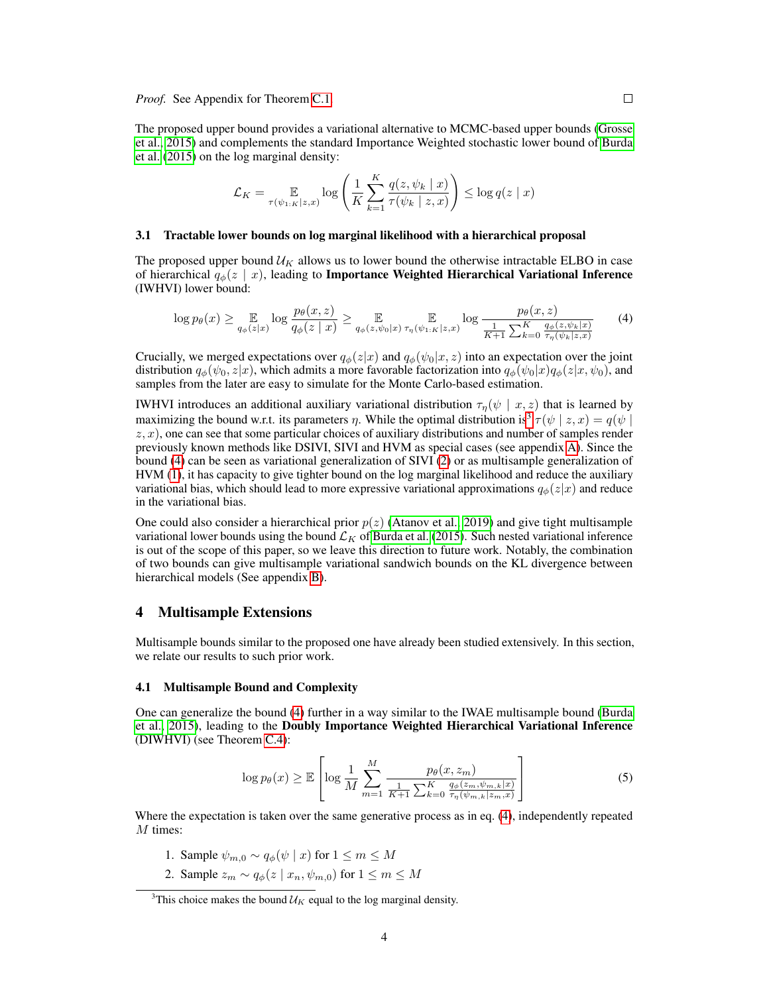The proposed upper bound provides a variational alternative to MCMC-based upper bounds [\(Grosse](#page-9-3) [et al., 2015\)](#page-9-3) and complements the standard Importance Weighted stochastic lower bound of [Burda](#page-8-1) [et al.](#page-8-1) [\(2015\)](#page-8-1) on the log marginal density:

<span id="page-3-2"></span>
$$
\mathcal{L}_K = \mathop{\mathbb{E}}_{\tau(\psi_{1:K}|z,x)} \log \left( \frac{1}{K} \sum_{k=1}^K \frac{q(z, \psi_k \mid x)}{\tau(\psi_k \mid z, x)} \right) \le \log q(z \mid x)
$$

### 3.1 Tractable lower bounds on log marginal likelihood with a hierarchical proposal

The proposed upper bound  $\mathcal{U}_K$  allows us to lower bound the otherwise intractable ELBO in case of hierarchical  $q_{\phi}(z \mid x)$ , leading to Importance Weighted Hierarchical Variational Inference (IWHVI) lower bound:

$$
\log p_{\theta}(x) \ge \mathop{\mathbb{E}}_{q_{\phi}(z|x)} \log \frac{p_{\theta}(x,z)}{q_{\phi}(z|x)} \ge \mathop{\mathbb{E}}_{q_{\phi}(z,\psi_0|x)} \mathop{\mathbb{E}}_{\tau_{\eta}(\psi_{1:K}|z,x)} \log \frac{p_{\theta}(x,z)}{\frac{1}{K+1} \sum_{k=0}^{K} \frac{q_{\phi}(z,\psi_k|x)}{\tau_{\eta}(\psi_k|z,x)}} \tag{4}
$$

Crucially, we merged expectations over  $q_{\phi}(z|x)$  and  $q_{\phi}(\psi_0|x, z)$  into an expectation over the joint distribution  $q_{\phi}(\psi_0, z|x)$ , which admits a more favorable factorization into  $q_{\phi}(\psi_0|x)q_{\phi}(z|x, \psi_0)$ , and samples from the later are easy to simulate for the Monte Carlo-based estimation.

**IWHVI** introduces an additional auxiliary variational distribution  $\tau_{\eta}(\psi \mid x, z)$  that is learned by maximizing the bound w.r.t. its parameters  $\eta$ . While the optimal distribution is<sup>[3](#page-3-1)</sup>  $\tau(\psi \mid z, x) = q(\psi \mid z, x)$  $z, x$ ), one can see that some particular choices of auxiliary distributions and number of samples render previously known methods like DSIVI, SIVI and HVM as special cases (see appendix [A\)](#page--1-1). Since the bound [\(4\)](#page-3-2) can be seen as variational generalization of SIVI [\(2\)](#page-2-1) or as multisample generalization of HVM [\(1\)](#page-1-0), it has capacity to give tighter bound on the log marginal likelihood and reduce the auxiliary variational bias, which should lead to more expressive variational approximations  $q_{\phi}(z|x)$  and reduce in the variational bias.

One could also consider a hierarchical prior  $p(z)$  [\(Atanov et al., 2019\)](#page-8-2) and give tight multisample variational lower bounds using the bound  $\mathcal{L}_K$  of [Burda et al.](#page-8-1) [\(2015\)](#page-8-1). Such nested variational inference is out of the scope of this paper, so we leave this direction to future work. Notably, the combination of two bounds can give multisample variational sandwich bounds on the KL divergence between hierarchical models (See appendix [B\)](#page--1-2).

# <span id="page-3-4"></span>4 Multisample Extensions

Multisample bounds similar to the proposed one have already been studied extensively. In this section, we relate our results to such prior work.

# <span id="page-3-0"></span>4.1 Multisample Bound and Complexity

One can generalize the bound [\(4\)](#page-3-2) further in a way similar to the IWAE multisample bound [\(Burda](#page-8-1) [et al., 2015\)](#page-8-1), leading to the Doubly Importance Weighted Hierarchical Variational Inference (DIWHVI) (see Theorem [C.4\)](#page--1-3):

<span id="page-3-3"></span>
$$
\log p_{\theta}(x) \geq \mathbb{E}\left[\log \frac{1}{M} \sum_{m=1}^{M} \frac{p_{\theta}(x, z_m)}{\frac{1}{K+1} \sum_{k=0}^{K} \frac{q_{\phi}(z_m, \psi_m, k|x)}{\tau_{\eta}(\psi_m, k|z_m, x)}}\right]
$$
(5)

Where the expectation is taken over the same generative process as in eq. [\(4\)](#page-3-2), independently repeated M times:

- 1. Sample  $\psi_{m,0} \sim q_{\phi}(\psi \mid x)$  for  $1 \leq m \leq M$
- 2. Sample  $z_m \sim q_\phi(z \mid x_n, \psi_{m,0})$  for  $1 \le m \le M$

<span id="page-3-1"></span><sup>&</sup>lt;sup>3</sup>This choice makes the bound  $\mathcal{U}_K$  equal to the log marginal density.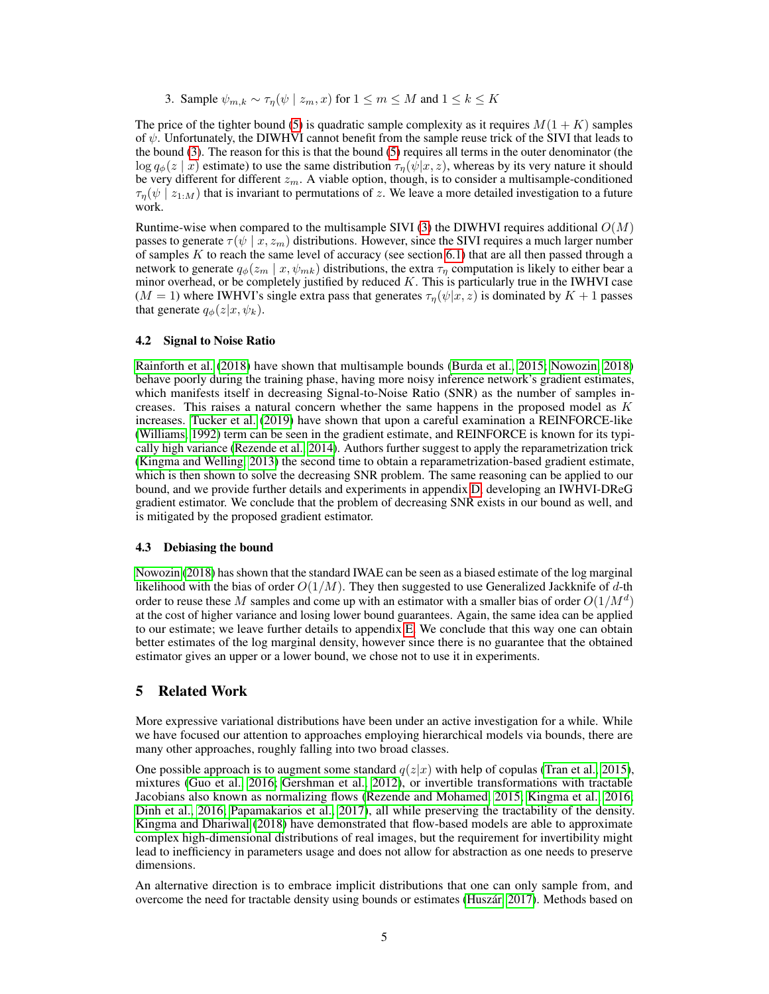3. Sample  $\psi_{m,k} \sim \tau_n(\psi \mid z_m, x)$  for  $1 \leq m \leq M$  and  $1 \leq k \leq K$ 

The price of the tighter bound [\(5\)](#page-3-3) is quadratic sample complexity as it requires  $M(1 + K)$  samples of  $\psi$ . Unfortunately, the DIWHVI cannot benefit from the sample reuse trick of the SIVI that leads to the bound [\(3\)](#page-2-2). The reason for this is that the bound [\(5\)](#page-3-3) requires all terms in the outer denominator (the  $\log q_{\phi}(z \mid x)$  estimate) to use the same distribution  $\tau_{\eta}(\psi|x, z)$ , whereas by its very nature it should be very different for different  $z_m$ . A viable option, though, is to consider a multisample-conditioned  $\tau_n(\psi \mid z_{1:M})$  that is invariant to permutations of z. We leave a more detailed investigation to a future work.

Runtime-wise when compared to the multisample SIVI [\(3\)](#page-2-2) the DIWHVI requires additional  $O(M)$ passes to generate  $\tau(\psi \mid x, z_m)$  distributions. However, since the SIVI requires a much larger number of samples  $K$  to reach the same level of accuracy (see section [6.1\)](#page-5-0) that are all then passed through a network to generate  $q_{\phi}(z_m | x, \psi_{mk})$  distributions, the extra  $\tau_{\eta}$  computation is likely to either bear a minor overhead, or be completely justified by reduced  $K$ . This is particularly true in the IWHVI case  $(M = 1)$  where IWHVI's single extra pass that generates  $\tau_{\eta}(\psi|x, z)$  is dominated by  $K + 1$  passes that generate  $q_{\phi}(z|x, \psi_k)$ .

### 4.2 Signal to Noise Ratio

[Rainforth et al.](#page-11-3) [\(2018\)](#page-11-3) have shown that multisample bounds [\(Burda et al., 2015;](#page-8-1) [Nowozin, 2018\)](#page-10-7) behave poorly during the training phase, having more noisy inference network's gradient estimates, which manifests itself in decreasing Signal-to-Noise Ratio (SNR) as the number of samples increases. This raises a natural concern whether the same happens in the proposed model as  $K$ increases. [Tucker et al.](#page-11-4) [\(2019\)](#page-11-4) have shown that upon a careful examination a REINFORCE-like [\(Williams, 1992\)](#page-12-2) term can be seen in the gradient estimate, and REINFORCE is known for its typically high variance [\(Rezende et al., 2014\)](#page-11-5). Authors further suggest to apply the reparametrization trick [\(Kingma and Welling, 2013\)](#page-9-4) the second time to obtain a reparametrization-based gradient estimate, which is then shown to solve the decreasing SNR problem. The same reasoning can be applied to our bound, and we provide further details and experiments in appendix [D,](#page--1-4) developing an IWHVI-DReG gradient estimator. We conclude that the problem of decreasing SNR exists in our bound as well, and is mitigated by the proposed gradient estimator.

### 4.3 Debiasing the bound

[Nowozin](#page-10-7) [\(2018\)](#page-10-7) has shown that the standard IWAE can be seen as a biased estimate of the log marginal likelihood with the bias of order  $O(1/M)$ . They then suggested to use Generalized Jackknife of d-th order to reuse these M samples and come up with an estimator with a smaller bias of order  $O(1/M^d)$ at the cost of higher variance and losing lower bound guarantees. Again, the same idea can be applied to our estimate; we leave further details to appendix [E.](#page--1-5) We conclude that this way one can obtain better estimates of the log marginal density, however since there is no guarantee that the obtained estimator gives an upper or a lower bound, we chose not to use it in experiments.

## <span id="page-4-0"></span>5 Related Work

More expressive variational distributions have been under an active investigation for a while. While we have focused our attention to approaches employing hierarchical models via bounds, there are many other approaches, roughly falling into two broad classes.

One possible approach is to augment some standard  $q(z|x)$  with help of copulas [\(Tran et al., 2015\)](#page-11-6), mixtures [\(Guo et al., 2016;](#page-9-5) [Gershman et al., 2012\)](#page-9-6), or invertible transformations with tractable Jacobians also known as normalizing flows [\(Rezende and Mohamed, 2015;](#page-11-7) [Kingma et al., 2016;](#page-9-7) [Dinh et al., 2016;](#page-9-8) [Papamakarios et al., 2017\)](#page-10-8), all while preserving the tractability of the density. [Kingma and Dhariwal](#page-9-9) [\(2018\)](#page-9-9) have demonstrated that flow-based models are able to approximate complex high-dimensional distributions of real images, but the requirement for invertibility might lead to inefficiency in parameters usage and does not allow for abstraction as one needs to preserve dimensions.

An alternative direction is to embrace implicit distributions that one can only sample from, and overcome the need for tractable density using bounds or estimates [\(Huszár, 2017\)](#page-9-10). Methods based on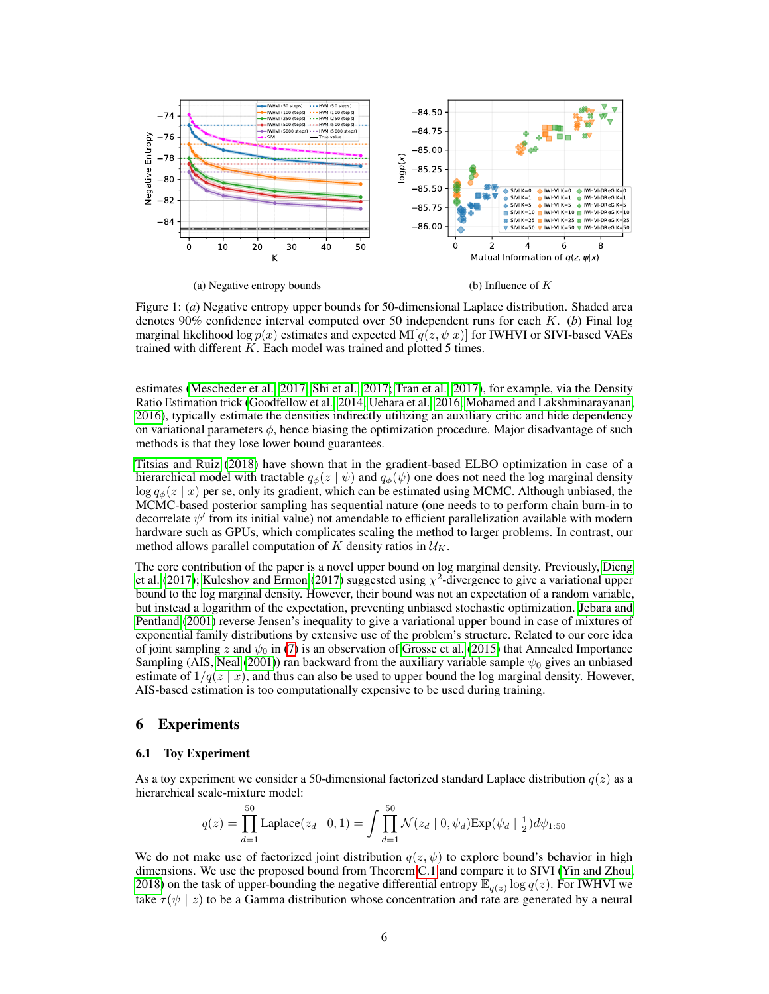<span id="page-5-1"></span>

Figure 1: (*a*) Negative entropy upper bounds for 50-dimensional Laplace distribution. Shaded area denotes 90% confidence interval computed over 50 independent runs for each K. (*b*) Final log marginal likelihood log  $p(x)$  estimates and expected MI[ $q(z, \psi|x)$ ] for IWHVI or SIVI-based VAEs trained with different  $K$ . Each model was trained and plotted  $5$  times.

estimates [\(Mescheder et al., 2017;](#page-10-9) [Shi et al., 2017;](#page-11-8) [Tran et al., 2017\)](#page-11-9), for example, via the Density Ratio Estimation trick [\(Goodfellow et al., 2014;](#page-9-1) [Uehara et al., 2016;](#page-11-10) [Mohamed and Lakshminarayanan,](#page-10-10) [2016\)](#page-10-10), typically estimate the densities indirectly utilizing an auxiliary critic and hide dependency on variational parameters  $\phi$ , hence biasing the optimization procedure. Major disadvantage of such methods is that they lose lower bound guarantees.

[Titsias and Ruiz](#page-11-11) [\(2018\)](#page-11-11) have shown that in the gradient-based ELBO optimization in case of a hierarchical model with tractable  $q_{\phi}(z | \psi)$  and  $q_{\phi}(\psi)$  one does not need the log marginal density  $\log q_{\phi}(z \mid x)$  per se, only its gradient, which can be estimated using MCMC. Although unbiased, the MCMC-based posterior sampling has sequential nature (one needs to to perform chain burn-in to decorrelate  $\psi'$  from its initial value) not amendable to efficient parallelization available with modern hardware such as GPUs, which complicates scaling the method to larger problems. In contrast, our method allows parallel computation of K density ratios in  $\mathcal{U}_K$ .

The core contribution of the paper is a novel upper bound on log marginal density. Previously, [Dieng](#page-8-3) [et al.](#page-8-3) [\(2017\)](#page-9-11); [Kuleshov and Ermon](#page-9-11) (2017) suggested using  $\chi^2$ -divergence to give a variational upper bound to the log marginal density. However, their bound was not an expectation of a random variable, but instead a logarithm of the expectation, preventing unbiased stochastic optimization. [Jebara and](#page-9-12) [Pentland](#page-9-12) [\(2001\)](#page-9-12) reverse Jensen's inequality to give a variational upper bound in case of mixtures of exponential family distributions by extensive use of the problem's structure. Related to our core idea of joint sampling z and  $\psi_0$  in [\(7\)](#page--1-6) is an observation of [Grosse et al.](#page-9-3) [\(2015\)](#page-9-3) that Annealed Importance Sampling (AIS, [Neal](#page-10-11) [\(2001\)](#page-10-11)) ran backward from the auxiliary variable sample  $\psi_0$  gives an unbiased estimate of  $1/q(z \mid x)$ , and thus can also be used to upper bound the log marginal density. However, AIS-based estimation is too computationally expensive to be used during training.

# 6 Experiments

#### <span id="page-5-0"></span>6.1 Toy Experiment

As a toy experiment we consider a 50-dimensional factorized standard Laplace distribution  $q(z)$  as a hierarchical scale-mixture model:

$$
q(z) = \prod_{d=1}^{50} \text{Laplace}(z_d \mid 0, 1) = \int \prod_{d=1}^{50} \mathcal{N}(z_d \mid 0, \psi_d) \text{Exp}(\psi_d \mid \frac{1}{2}) d\psi_{1:50}
$$

We do not make use of factorized joint distribution  $q(z, \psi)$  to explore bound's behavior in high dimensions. We use the proposed bound from Theorem [C.1](#page--1-0) and compare it to SIVI [\(Yin and Zhou,](#page-12-1) [2018\)](#page-12-1) on the task of upper-bounding the negative differential entropy  $\mathbb{E}_{q(z)} \log q(z)$ . For IWHVI we take  $\tau(\psi \mid z)$  to be a Gamma distribution whose concentration and rate are generated by a neural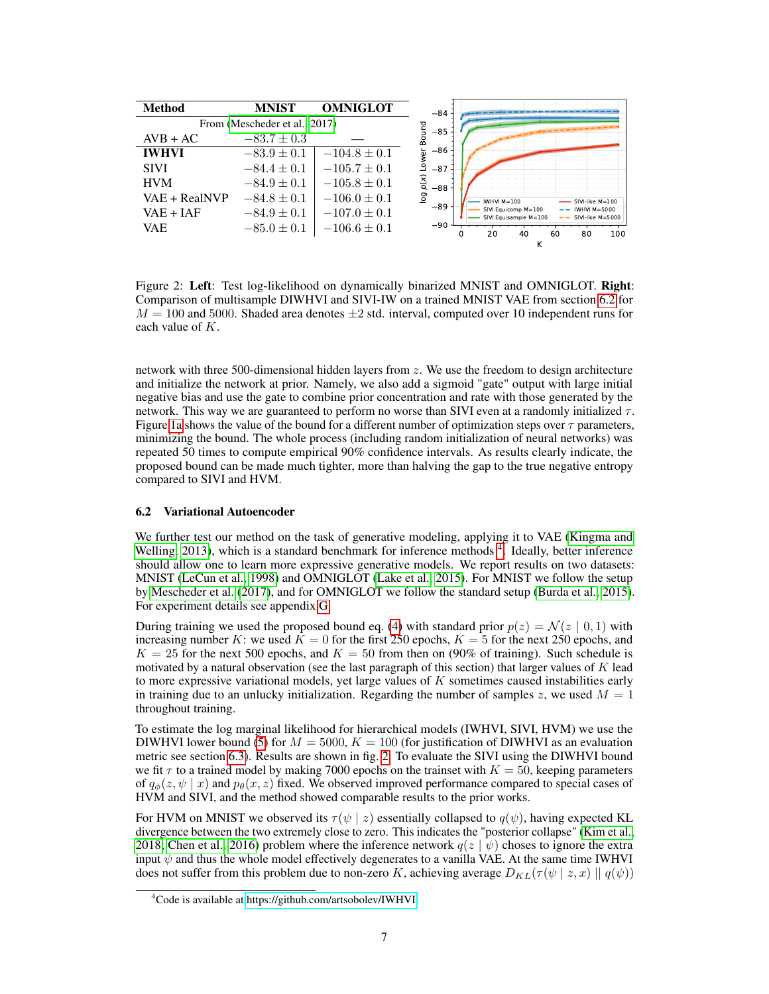<span id="page-6-2"></span>

Figure 2: Left: Test log-likelihood on dynamically binarized MNIST and OMNIGLOT. Right: Comparison of multisample DIWHVI and SIVI-IW on a trained MNIST VAE from section [6.2](#page-6-0) for  $M = 100$  and 5000. Shaded area denotes  $\pm 2$  std. interval, computed over 10 independent runs for each value of  $K$ .

network with three 500-dimensional hidden layers from z. We use the freedom to design architecture and initialize the network at prior. Namely, we also add a sigmoid "gate" output with large initial negative bias and use the gate to combine prior concentration and rate with those generated by the network. This way we are guaranteed to perform no worse than SIVI even at a randomly initialized  $\tau$ . Figure [1a](#page-5-1) shows the value of the bound for a different number of optimization steps over  $\tau$  parameters, minimizing the bound. The whole process (including random initialization of neural networks) was repeated 50 times to compute empirical 90% confidence intervals. As results clearly indicate, the proposed bound can be made much tighter, more than halving the gap to the true negative entropy compared to SIVI and HVM.

## <span id="page-6-0"></span>6.2 Variational Autoencoder

We further test our method on the task of generative modeling, applying it to VAE [\(Kingma and](#page-9-4) [Welling, 2013\)](#page-9-4), which is a standard benchmark for inference methods <sup>[4](#page-6-1)</sup>. Ideally, better inference should allow one to learn more expressive generative models. We report results on two datasets: MNIST [\(LeCun et al., 1998\)](#page-10-12) and OMNIGLOT [\(Lake et al., 2015\)](#page-9-13). For MNIST we follow the setup by [Mescheder et al.](#page-10-9) [\(2017\)](#page-10-9), and for OMNIGLOT we follow the standard setup [\(Burda et al., 2015\)](#page-8-1). For experiment details see appendix [G.](#page--1-7)

During training we used the proposed bound eq. [\(4\)](#page-3-2) with standard prior  $p(z) = \mathcal{N}(z \mid 0, 1)$  with increasing number K: we used  $K = 0$  for the first 250 epochs,  $K = 5$  for the next 250 epochs, and  $K = 25$  for the next 500 epochs, and  $K = 50$  from then on (90% of training). Such schedule is motivated by a natural observation (see the last paragraph of this section) that larger values of  $K$  lead to more expressive variational models, yet large values of  $K$  sometimes caused instabilities early in training due to an unlucky initialization. Regarding the number of samples z, we used  $M = 1$ throughout training.

To estimate the log marginal likelihood for hierarchical models (IWHVI, SIVI, HVM) we use the DIWHVI lower bound [\(5\)](#page-3-3) for  $M = 5000$ ,  $K = 100$  (for justification of DIWHVI as an evaluation metric see section [6.3\)](#page-7-0). Results are shown in fig. [2.](#page-6-2) To evaluate the SIVI using the DIWHVI bound we fit  $\tau$  to a trained model by making 7000 epochs on the trainset with  $K = 50$ , keeping parameters of  $q_{\phi}(z, \psi | z)$  and  $p_{\theta}(x, z)$  fixed. We observed improved performance compared to special cases of HVM and SIVI, and the method showed comparable results to the prior works.

For HVM on MNIST we observed its  $\tau(\psi \mid z)$  essentially collapsed to  $q(\psi)$ , having expected KL divergence between the two extremely close to zero. This indicates the "posterior collapse" [\(Kim et al.,](#page-9-14) [2018;](#page-9-14) [Chen et al., 2016\)](#page-8-4) problem where the inference network  $q(z | \psi)$  choses to ignore the extra input  $\psi$  and thus the whole model effectively degenerates to a vanilla VAE. At the same time IWHVI does not suffer from this problem due to non-zero K, achieving average  $D_{KL}(\tau(\psi \mid z, x) \mid q(\psi))$ 

<span id="page-6-1"></span><sup>&</sup>lt;sup>4</sup>Code is available at<https://github.com/artsobolev/IWHVI>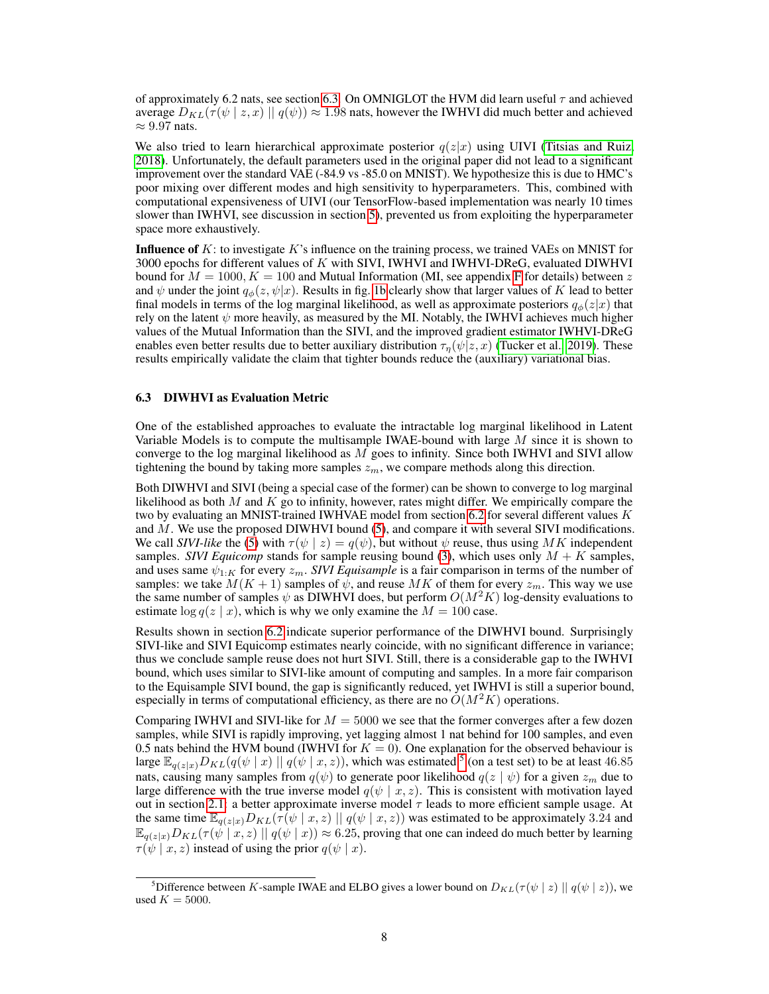of approximately 6.2 nats, see section [6.3.](#page-7-0) On OMNIGLOT the HVM did learn useful  $\tau$  and achieved average  $D_{KL}(\tau(\psi \mid z, x) \mid q(\psi)) \approx 1.98$  nats, however the IWHVI did much better and achieved  $\approx 9.97$  nats.

We also tried to learn hierarchical approximate posterior  $q(z|x)$  using UIVI [\(Titsias and Ruiz,](#page-11-11) [2018\)](#page-11-11). Unfortunately, the default parameters used in the original paper did not lead to a significant improvement over the standard VAE (-84.9 vs -85.0 on MNIST). We hypothesize this is due to HMC's poor mixing over different modes and high sensitivity to hyperparameters. This, combined with computational expensiveness of UIVI (our TensorFlow-based implementation was nearly 10 times slower than IWHVI, see discussion in section [5\)](#page-4-0), prevented us from exploiting the hyperparameter space more exhaustively.

**Influence of**  $K$ : to investigate  $K$ 's influence on the training process, we trained VAEs on MNIST for 3000 epochs for different values of  $K$  with SIVI, IWHVI and IWHVI-DReG, evaluated DIWHVI bound for  $M = 1000, K = 100$  and Mutual Information (MI, see appendix [F](#page--1-8) for details) between z and  $\psi$  under the joint  $q_{\phi}(z, \psi|x)$ . Results in fig. [1b](#page-5-1) clearly show that larger values of K lead to better final models in terms of the log marginal likelihood, as well as approximate posteriors  $q_{\phi}(z|x)$  that rely on the latent  $\psi$  more heavily, as measured by the MI. Notably, the IWHVI achieves much higher values of the Mutual Information than the SIVI, and the improved gradient estimator IWHVI-DReG enables even better results due to better auxiliary distribution  $\tau_{\eta}(\psi|z, x)$  [\(Tucker et al., 2019\)](#page-11-4). These results empirically validate the claim that tighter bounds reduce the (auxiliary) variational bias.

## <span id="page-7-0"></span>6.3 DIWHVI as Evaluation Metric

One of the established approaches to evaluate the intractable log marginal likelihood in Latent Variable Models is to compute the multisample IWAE-bound with large  $M$  since it is shown to converge to the log marginal likelihood as  $M$  goes to infinity. Since both IWHVI and SIVI allow tightening the bound by taking more samples  $z_m$ , we compare methods along this direction.

Both DIWHVI and SIVI (being a special case of the former) can be shown to converge to log marginal likelihood as both  $M$  and  $K$  go to infinity, however, rates might differ. We empirically compare the two by evaluating an MNIST-trained IWHVAE model from section [6.2](#page-6-0) for several different values  $K$ and M. We use the proposed DIWHVI bound [\(5\)](#page-3-3), and compare it with several SIVI modifications. We call *SIVI-like* the [\(5\)](#page-3-3) with  $\tau(\psi \mid z) = q(\psi)$ , but without  $\psi$  reuse, thus using MK independent samples. *SIVI Equicomp* stands for sample reusing bound [\(3\)](#page-2-2), which uses only  $M + K$  samples, and uses same  $\psi_{1:K}$  for every  $z_m$ . *SIVI Equisample* is a fair comparison in terms of the number of samples: we take  $M(K + 1)$  samples of  $\psi$ , and reuse MK of them for every  $z_m$ . This way we use the same number of samples  $\psi$  as DIWHVI does, but perform  $O(M^2K)$  log-density evaluations to estimate  $\log q(z | x)$ , which is why we only examine the  $M = 100$  case.

Results shown in section [6.2](#page-6-2) indicate superior performance of the DIWHVI bound. Surprisingly SIVI-like and SIVI Equicomp estimates nearly coincide, with no significant difference in variance; thus we conclude sample reuse does not hurt SIVI. Still, there is a considerable gap to the IWHVI bound, which uses similar to SIVI-like amount of computing and samples. In a more fair comparison to the Equisample SIVI bound, the gap is significantly reduced, yet IWHVI is still a superior bound, especially in terms of computational efficiency, as there are no  $O(M^2K)$  operations.

Comparing IWHVI and SIVI-like for  $M = 5000$  we see that the former converges after a few dozen samples, while SIVI is rapidly improving, yet lagging almost 1 nat behind for 100 samples, and even 0.5 nats behind the HVM bound (IWHVI for  $K = 0$ ). One explanation for the observed behaviour is large  $\mathbb{E}_{q(z|x)}D_{KL}(q(\psi | x) || q(\psi | x, z))$ , which was estimated <sup>[5](#page-7-1)</sup> (on a test set) to be at least 46.85 nats, causing many samples from  $q(\psi)$  to generate poor likelihood  $q(z | \psi)$  for a given  $z_m$  due to large difference with the true inverse model  $q(\psi | x, z)$ . This is consistent with motivation layed out in section [2.1:](#page-2-3) a better approximate inverse model  $\tau$  leads to more efficient sample usage. At the same time  $\mathbb{E}_{q(z|x)}D_{KL}(\tau(\psi | x, z) || q(\psi | x, z))$  was estimated to be approximately 3.24 and  $\mathbb{E}_{q(z|x)}D_{KL}(\tau(\psi | x, z) || q(\psi | x)) \approx 6.25$ , proving that one can indeed do much better by learning  $\tau(\psi \mid x, z)$  instead of using the prior  $q(\psi \mid x)$ .

<span id="page-7-1"></span><sup>&</sup>lt;sup>5</sup>Difference between K-sample IWAE and ELBO gives a lower bound on  $D_{KL}(\tau(\psi | z) || q(\psi | z))$ , we used  $K = 5000$ .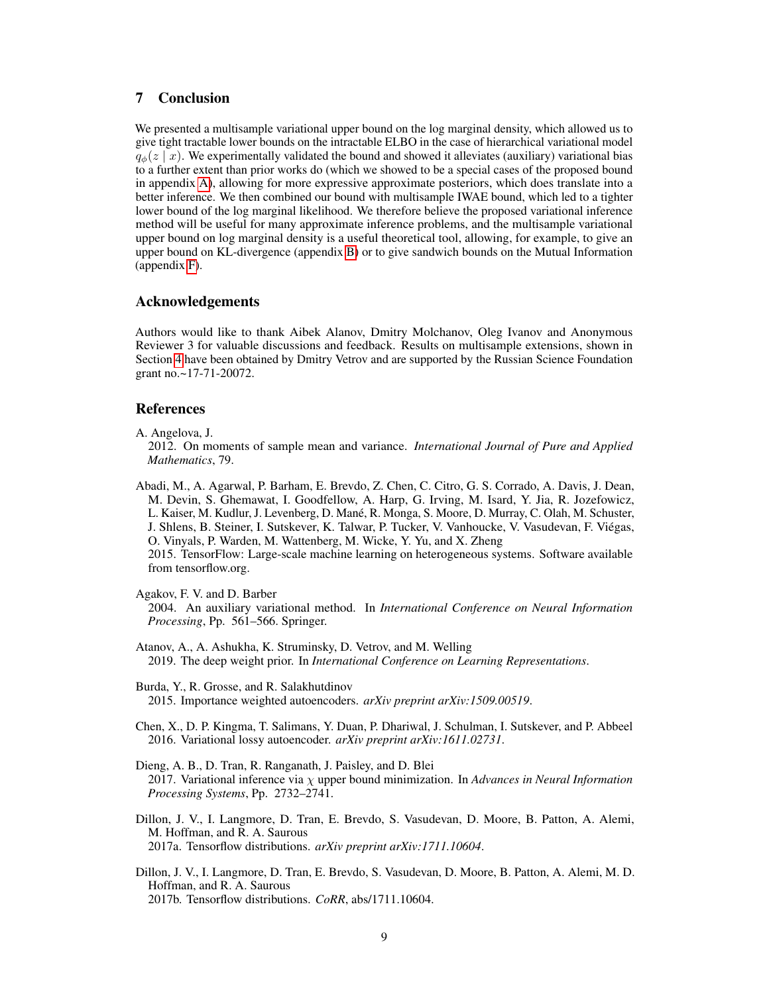# 7 Conclusion

We presented a multisample variational upper bound on the log marginal density, which allowed us to give tight tractable lower bounds on the intractable ELBO in the case of hierarchical variational model  $q_{\phi}(z | x)$ . We experimentally validated the bound and showed it alleviates (auxiliary) variational bias to a further extent than prior works do (which we showed to be a special cases of the proposed bound in appendix [A\)](#page--1-1), allowing for more expressive approximate posteriors, which does translate into a better inference. We then combined our bound with multisample IWAE bound, which led to a tighter lower bound of the log marginal likelihood. We therefore believe the proposed variational inference method will be useful for many approximate inference problems, and the multisample variational upper bound on log marginal density is a useful theoretical tool, allowing, for example, to give an upper bound on KL-divergence (appendix [B\)](#page--1-2) or to give sandwich bounds on the Mutual Information (appendix [F\)](#page--1-8).

# Acknowledgements

Authors would like to thank Aibek Alanov, Dmitry Molchanov, Oleg Ivanov and Anonymous Reviewer 3 for valuable discussions and feedback. Results on multisample extensions, shown in Section [4](#page-3-4) have been obtained by Dmitry Vetrov and are supported by the Russian Science Foundation grant no.~17-71-20072.

# References

A. Angelova, J.

2012. On moments of sample mean and variance. *International Journal of Pure and Applied Mathematics*, 79.

Abadi, M., A. Agarwal, P. Barham, E. Brevdo, Z. Chen, C. Citro, G. S. Corrado, A. Davis, J. Dean, M. Devin, S. Ghemawat, I. Goodfellow, A. Harp, G. Irving, M. Isard, Y. Jia, R. Jozefowicz, L. Kaiser, M. Kudlur, J. Levenberg, D. Mané, R. Monga, S. Moore, D. Murray, C. Olah, M. Schuster, J. Shlens, B. Steiner, I. Sutskever, K. Talwar, P. Tucker, V. Vanhoucke, V. Vasudevan, F. Viégas, O. Vinyals, P. Warden, M. Wattenberg, M. Wicke, Y. Yu, and X. Zheng 2015. TensorFlow: Large-scale machine learning on heterogeneous systems. Software available from tensorflow.org.

<span id="page-8-0"></span>Agakov, F. V. and D. Barber

2004. An auxiliary variational method. In *International Conference on Neural Information Processing*, Pp. 561–566. Springer.

<span id="page-8-2"></span>Atanov, A., A. Ashukha, K. Struminsky, D. Vetrov, and M. Welling 2019. The deep weight prior. In *International Conference on Learning Representations*.

<span id="page-8-1"></span>Burda, Y., R. Grosse, and R. Salakhutdinov 2015. Importance weighted autoencoders. *arXiv preprint arXiv:1509.00519*.

- <span id="page-8-4"></span>Chen, X., D. P. Kingma, T. Salimans, Y. Duan, P. Dhariwal, J. Schulman, I. Sutskever, and P. Abbeel 2016. Variational lossy autoencoder. *arXiv preprint arXiv:1611.02731*.
- <span id="page-8-3"></span>Dieng, A. B., D. Tran, R. Ranganath, J. Paisley, and D. Blei 2017. Variational inference via χ upper bound minimization. In *Advances in Neural Information Processing Systems*, Pp. 2732–2741.

Dillon, J. V., I. Langmore, D. Tran, E. Brevdo, S. Vasudevan, D. Moore, B. Patton, A. Alemi, M. Hoffman, and R. A. Saurous 2017a. Tensorflow distributions. *arXiv preprint arXiv:1711.10604*.

Dillon, J. V., I. Langmore, D. Tran, E. Brevdo, S. Vasudevan, D. Moore, B. Patton, A. Alemi, M. D. Hoffman, and R. A. Saurous 2017b. Tensorflow distributions. *CoRR*, abs/1711.10604.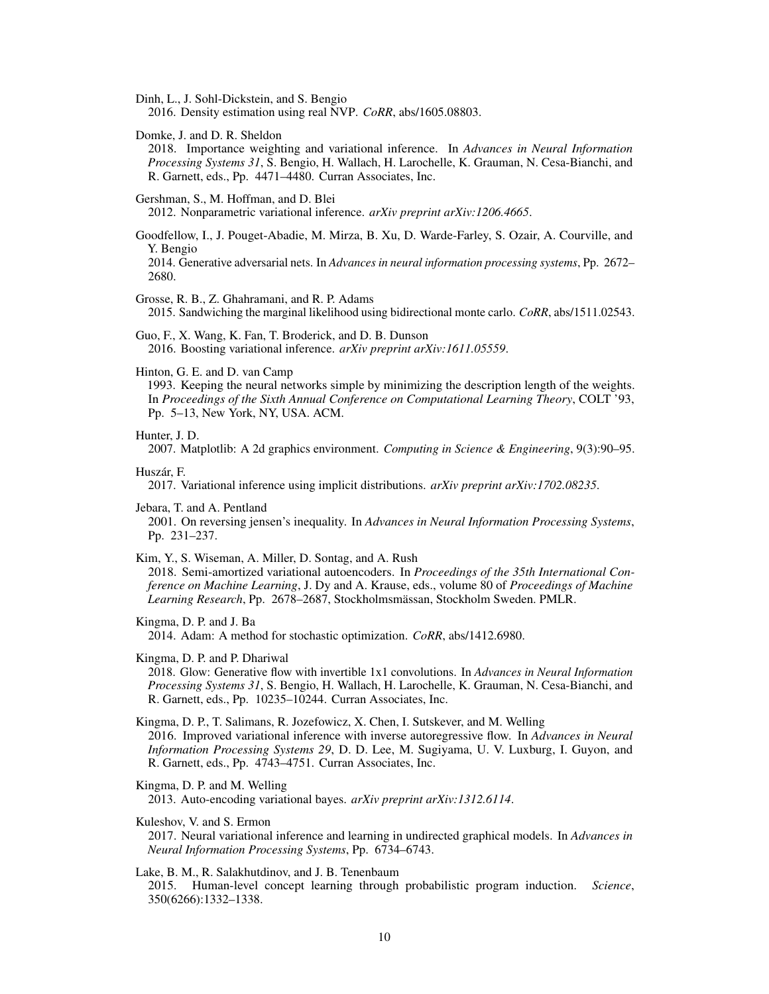<span id="page-9-8"></span>Dinh, L., J. Sohl-Dickstein, and S. Bengio

2016. Density estimation using real NVP. *CoRR*, abs/1605.08803.

<span id="page-9-2"></span>Domke, J. and D. R. Sheldon

2018. Importance weighting and variational inference. In *Advances in Neural Information Processing Systems 31*, S. Bengio, H. Wallach, H. Larochelle, K. Grauman, N. Cesa-Bianchi, and R. Garnett, eds., Pp. 4471–4480. Curran Associates, Inc.

<span id="page-9-6"></span>Gershman, S., M. Hoffman, and D. Blei

2012. Nonparametric variational inference. *arXiv preprint arXiv:1206.4665*.

<span id="page-9-1"></span>Goodfellow, I., J. Pouget-Abadie, M. Mirza, B. Xu, D. Warde-Farley, S. Ozair, A. Courville, and Y. Bengio

2014. Generative adversarial nets. In *Advances in neural information processing systems*, Pp. 2672– 2680.

<span id="page-9-3"></span>Grosse, R. B., Z. Ghahramani, and R. P. Adams

2015. Sandwiching the marginal likelihood using bidirectional monte carlo. *CoRR*, abs/1511.02543.

<span id="page-9-5"></span>Guo, F., X. Wang, K. Fan, T. Broderick, and D. B. Dunson 2016. Boosting variational inference. *arXiv preprint arXiv:1611.05559*.

#### <span id="page-9-0"></span>Hinton, G. E. and D. van Camp

1993. Keeping the neural networks simple by minimizing the description length of the weights. In *Proceedings of the Sixth Annual Conference on Computational Learning Theory*, COLT '93, Pp. 5–13, New York, NY, USA. ACM.

#### Hunter, J. D.

2007. Matplotlib: A 2d graphics environment. *Computing in Science & Engineering*, 9(3):90–95.

<span id="page-9-10"></span>Huszár, F.

2017. Variational inference using implicit distributions. *arXiv preprint arXiv:1702.08235*.

<span id="page-9-12"></span>Jebara, T. and A. Pentland

2001. On reversing jensen's inequality. In *Advances in Neural Information Processing Systems*, Pp. 231–237.

#### <span id="page-9-14"></span>Kim, Y., S. Wiseman, A. Miller, D. Sontag, and A. Rush

2018. Semi-amortized variational autoencoders. In *Proceedings of the 35th International Conference on Machine Learning*, J. Dy and A. Krause, eds., volume 80 of *Proceedings of Machine Learning Research*, Pp. 2678–2687, Stockholmsmässan, Stockholm Sweden. PMLR.

Kingma, D. P. and J. Ba

2014. Adam: A method for stochastic optimization. *CoRR*, abs/1412.6980.

#### <span id="page-9-9"></span>Kingma, D. P. and P. Dhariwal

2018. Glow: Generative flow with invertible 1x1 convolutions. In *Advances in Neural Information Processing Systems 31*, S. Bengio, H. Wallach, H. Larochelle, K. Grauman, N. Cesa-Bianchi, and R. Garnett, eds., Pp. 10235–10244. Curran Associates, Inc.

<span id="page-9-7"></span>Kingma, D. P., T. Salimans, R. Jozefowicz, X. Chen, I. Sutskever, and M. Welling 2016. Improved variational inference with inverse autoregressive flow. In *Advances in Neural Information Processing Systems 29*, D. D. Lee, M. Sugiyama, U. V. Luxburg, I. Guyon, and R. Garnett, eds., Pp. 4743–4751. Curran Associates, Inc.

## <span id="page-9-4"></span>Kingma, D. P. and M. Welling

2013. Auto-encoding variational bayes. *arXiv preprint arXiv:1312.6114*.

#### <span id="page-9-11"></span>Kuleshov, V. and S. Ermon

2017. Neural variational inference and learning in undirected graphical models. In *Advances in Neural Information Processing Systems*, Pp. 6734–6743.

# <span id="page-9-13"></span>Lake, B. M., R. Salakhutdinov, and J. B. Tenenbaum 2015. Human-level concept learning through probabilistic program induction. *Science*, 350(6266):1332–1338.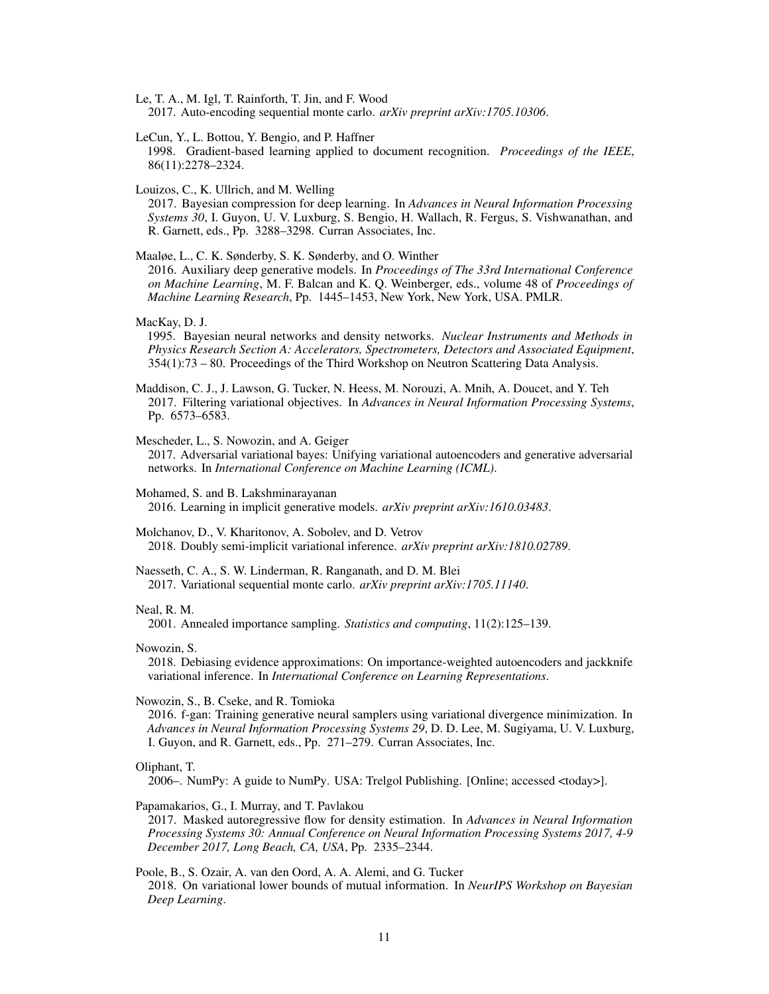<span id="page-10-6"></span>Le, T. A., M. Igl, T. Rainforth, T. Jin, and F. Wood 2017. Auto-encoding sequential monte carlo. *arXiv preprint arXiv:1705.10306*.

<span id="page-10-12"></span>LeCun, Y., L. Bottou, Y. Bengio, and P. Haffner

1998. Gradient-based learning applied to document recognition. *Proceedings of the IEEE*, 86(11):2278–2324.

Louizos, C., K. Ullrich, and M. Welling

2017. Bayesian compression for deep learning. In *Advances in Neural Information Processing Systems 30*, I. Guyon, U. V. Luxburg, S. Bengio, H. Wallach, R. Fergus, S. Vishwanathan, and R. Garnett, eds., Pp. 3288–3298. Curran Associates, Inc.

<span id="page-10-2"></span>Maaløe, L., C. K. Sønderby, S. K. Sønderby, and O. Winther

2016. Auxiliary deep generative models. In *Proceedings of The 33rd International Conference on Machine Learning*, M. F. Balcan and K. Q. Weinberger, eds., volume 48 of *Proceedings of Machine Learning Research*, Pp. 1445–1453, New York, New York, USA. PMLR.

#### <span id="page-10-1"></span>MacKay, D. J.

1995. Bayesian neural networks and density networks. *Nuclear Instruments and Methods in Physics Research Section A: Accelerators, Spectrometers, Detectors and Associated Equipment*, 354(1):73 – 80. Proceedings of the Third Workshop on Neutron Scattering Data Analysis.

<span id="page-10-4"></span>Maddison, C. J., J. Lawson, G. Tucker, N. Heess, M. Norouzi, A. Mnih, A. Doucet, and Y. Teh 2017. Filtering variational objectives. In *Advances in Neural Information Processing Systems*, Pp. 6573–6583.

## <span id="page-10-9"></span>Mescheder, L., S. Nowozin, and A. Geiger

2017. Adversarial variational bayes: Unifying variational autoencoders and generative adversarial networks. In *International Conference on Machine Learning (ICML)*.

<span id="page-10-10"></span>Mohamed, S. and B. Lakshminarayanan 2016. Learning in implicit generative models. *arXiv preprint arXiv:1610.03483*.

<span id="page-10-3"></span>Molchanov, D., V. Kharitonov, A. Sobolev, and D. Vetrov 2018. Doubly semi-implicit variational inference. *arXiv preprint arXiv:1810.02789*.

<span id="page-10-5"></span>Naesseth, C. A., S. W. Linderman, R. Ranganath, and D. M. Blei 2017. Variational sequential monte carlo. *arXiv preprint arXiv:1705.11140*.

### <span id="page-10-11"></span>Neal, R. M.

2001. Annealed importance sampling. *Statistics and computing*, 11(2):125–139.

<span id="page-10-7"></span>Nowozin, S.

2018. Debiasing evidence approximations: On importance-weighted autoencoders and jackknife variational inference. In *International Conference on Learning Representations*.

<span id="page-10-0"></span>Nowozin, S., B. Cseke, and R. Tomioka

2016. f-gan: Training generative neural samplers using variational divergence minimization. In *Advances in Neural Information Processing Systems 29*, D. D. Lee, M. Sugiyama, U. V. Luxburg, I. Guyon, and R. Garnett, eds., Pp. 271–279. Curran Associates, Inc.

#### Oliphant, T.

2006–. NumPy: A guide to NumPy. USA: Trelgol Publishing. [Online; accessed <today>].

<span id="page-10-8"></span>Papamakarios, G., I. Murray, and T. Pavlakou

2017. Masked autoregressive flow for density estimation. In *Advances in Neural Information Processing Systems 30: Annual Conference on Neural Information Processing Systems 2017, 4-9 December 2017, Long Beach, CA, USA*, Pp. 2335–2344.

Poole, B., S. Ozair, A. van den Oord, A. A. Alemi, and G. Tucker 2018. On variational lower bounds of mutual information. In *NeurIPS Workshop on Bayesian Deep Learning*.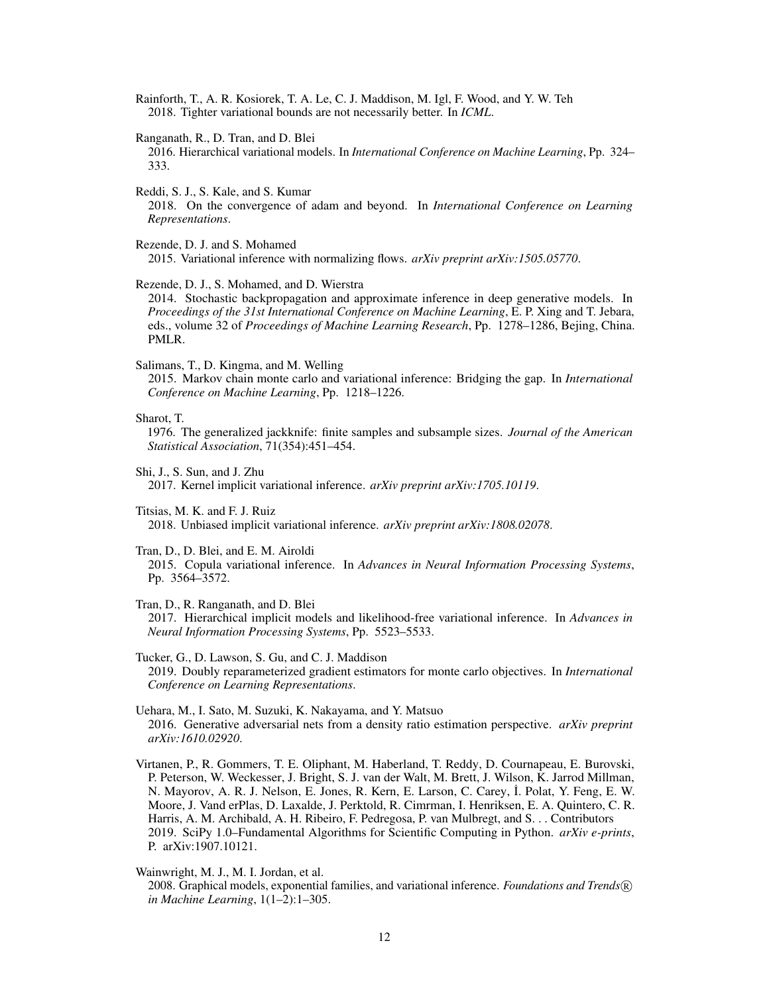<span id="page-11-3"></span>Rainforth, T., A. R. Kosiorek, T. A. Le, C. J. Maddison, M. Igl, F. Wood, and Y. W. Teh 2018. Tighter variational bounds are not necessarily better. In *ICML*.

<span id="page-11-1"></span>Ranganath, R., D. Tran, and D. Blei

2016. Hierarchical variational models. In *International Conference on Machine Learning*, Pp. 324– 333.

Reddi, S. J., S. Kale, and S. Kumar

2018. On the convergence of adam and beyond. In *International Conference on Learning Representations*.

<span id="page-11-7"></span>Rezende, D. J. and S. Mohamed 2015. Variational inference with normalizing flows. *arXiv preprint arXiv:1505.05770*.

<span id="page-11-5"></span>Rezende, D. J., S. Mohamed, and D. Wierstra

2014. Stochastic backpropagation and approximate inference in deep generative models. In *Proceedings of the 31st International Conference on Machine Learning*, E. P. Xing and T. Jebara, eds., volume 32 of *Proceedings of Machine Learning Research*, Pp. 1278–1286, Bejing, China. PMLR.

<span id="page-11-2"></span>Salimans, T., D. Kingma, and M. Welling

2015. Markov chain monte carlo and variational inference: Bridging the gap. In *International Conference on Machine Learning*, Pp. 1218–1226.

Sharot, T.

1976. The generalized jackknife: finite samples and subsample sizes. *Journal of the American Statistical Association*, 71(354):451–454.

<span id="page-11-8"></span>Shi, J., S. Sun, and J. Zhu 2017. Kernel implicit variational inference. *arXiv preprint arXiv:1705.10119*.

<span id="page-11-11"></span>Titsias, M. K. and F. J. Ruiz 2018. Unbiased implicit variational inference. *arXiv preprint arXiv:1808.02078*.

<span id="page-11-6"></span>Tran, D., D. Blei, and E. M. Airoldi 2015. Copula variational inference. In *Advances in Neural Information Processing Systems*, Pp. 3564–3572.

<span id="page-11-9"></span>Tran, D., R. Ranganath, and D. Blei

2017. Hierarchical implicit models and likelihood-free variational inference. In *Advances in Neural Information Processing Systems*, Pp. 5523–5533.

<span id="page-11-4"></span>Tucker, G., D. Lawson, S. Gu, and C. J. Maddison 2019. Doubly reparameterized gradient estimators for monte carlo objectives. In *International Conference on Learning Representations*.

<span id="page-11-10"></span>Uehara, M., I. Sato, M. Suzuki, K. Nakayama, and Y. Matsuo 2016. Generative adversarial nets from a density ratio estimation perspective. *arXiv preprint arXiv:1610.02920*.

Virtanen, P., R. Gommers, T. E. Oliphant, M. Haberland, T. Reddy, D. Cournapeau, E. Burovski, P. Peterson, W. Weckesser, J. Bright, S. J. van der Walt, M. Brett, J. Wilson, K. Jarrod Millman, N. Mayorov, A. R. J. Nelson, E. Jones, R. Kern, E. Larson, C. Carey, I. Polat, Y. Feng, E. W. Moore, J. Vand erPlas, D. Laxalde, J. Perktold, R. Cimrman, I. Henriksen, E. A. Quintero, C. R. Harris, A. M. Archibald, A. H. Ribeiro, F. Pedregosa, P. van Mulbregt, and S. . . Contributors 2019. SciPy 1.0–Fundamental Algorithms for Scientific Computing in Python. *arXiv e-prints*, P. arXiv:1907.10121.

<span id="page-11-0"></span>Wainwright, M. J., M. I. Jordan, et al.

2008. Graphical models, exponential families, and variational inference. *Foundations and Trends* <sup>R</sup> *in Machine Learning*, 1(1–2):1–305.